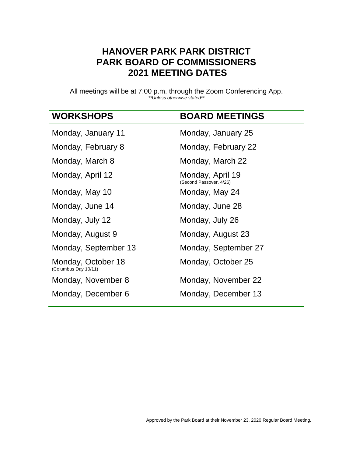## **HANOVER PARK PARK DISTRICT PARK BOARD OF COMMISSIONERS 2021 MEETING DATES**

All meetings will be at 7:00 p.m. through the Zoom Conferencing App. *\*\*Unless otherwise stated\*\**

## **WORKSHOPS BOARD MEETINGS**

| Monday, January 11                         | Monday, January 25                          |
|--------------------------------------------|---------------------------------------------|
| Monday, February 8                         | Monday, February 22                         |
| Monday, March 8                            | Monday, March 22                            |
| Monday, April 12                           | Monday, April 19<br>(Second Passover, 4/26) |
| Monday, May 10                             | Monday, May 24                              |
| Monday, June 14                            | Monday, June 28                             |
| Monday, July 12                            | Monday, July 26                             |
| Monday, August 9                           | Monday, August 23                           |
| Monday, September 13                       | Monday, September 27                        |
| Monday, October 18<br>(Columbus Day 10/11) | Monday, October 25                          |
| Monday, November 8                         | Monday, November 22                         |
| Monday, December 6                         | Monday, December 13                         |